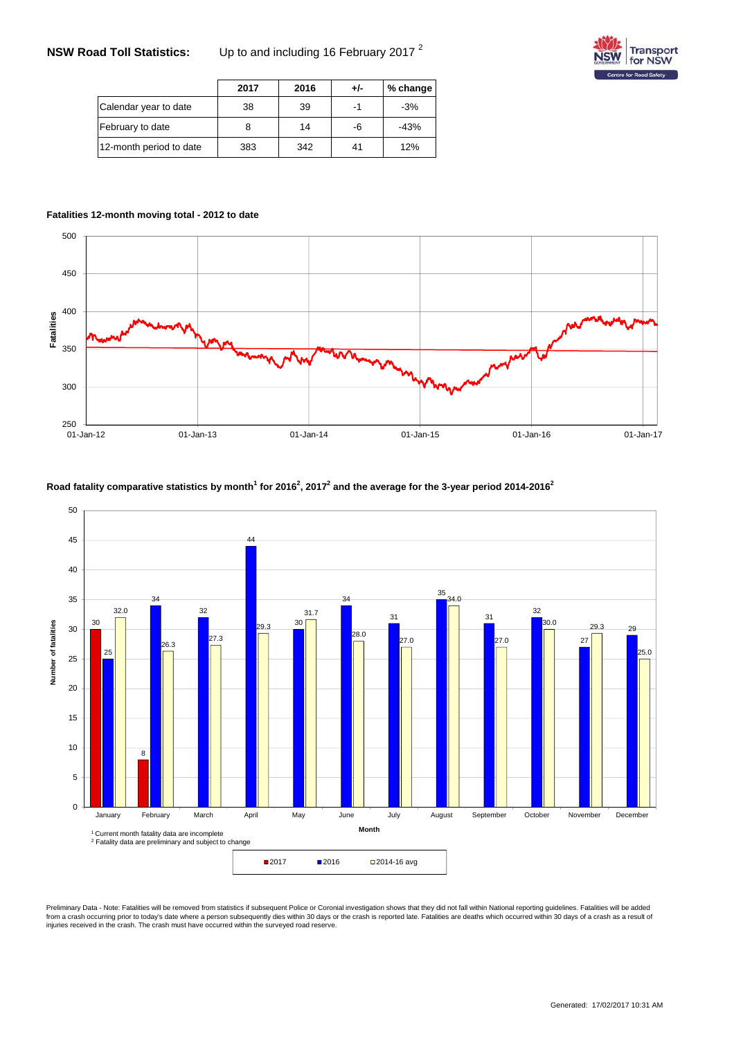# **NSW Road Toll Statistics:** Up to and including 16 February 2017 <sup>2</sup>



|                         | 2017 | 2016 | +/- | % change |
|-------------------------|------|------|-----|----------|
| Calendar year to date   | 38   | 39   |     | $-3%$    |
| February to date        |      | 14   | -6  | $-43%$   |
| 12-month period to date | 383  | 342  | 41  | 12%      |

#### **Fatalities 12-month moving total - 2012 to date**



#### **Road fatality comparative statistics by month<sup>1</sup> for 20162 , 20172 and the average for the 3-year period 2014-20162**



Preliminary Data - Note: Fatalities will be removed from statistics if subsequent Police or Coronial investigation shows that they did not fall within National reporting guidelines. Fatalities will be added<br>from a crash oc injuries received in the crash. The crash must have occurred within the surveyed road reserve.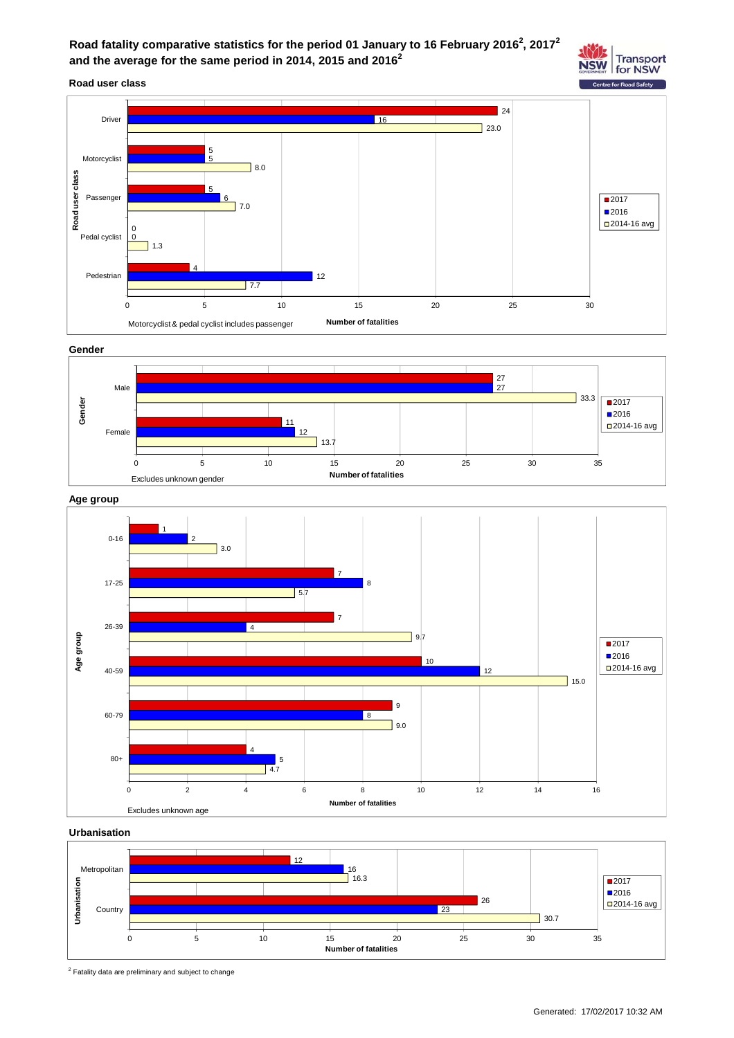

**Road user class**



**Gender**







**Urbanisation**



<sup>2</sup> Fatality data are preliminary and subject to change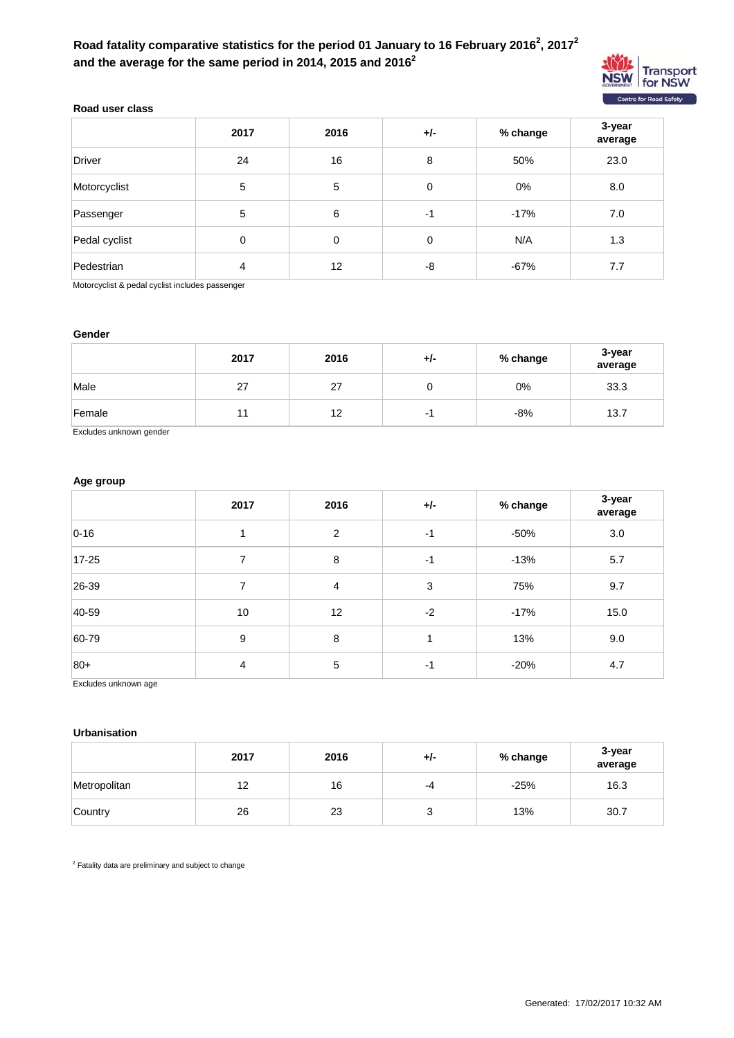## Road fatality comparative statistics for the period 01 January to 16 February 2016<sup>2</sup>, 2017<sup>2</sup> **and the average for the same period in 2014, 2015 and 20162**



### **Road user class**

|               | 2017 | 2016 | $+/-$ | % change | 3-year<br>average |
|---------------|------|------|-------|----------|-------------------|
| <b>Driver</b> | 24   | 16   | 8     | 50%      | 23.0              |
| Motorcyclist  | 5    | 5    | 0     | 0%       | 8.0               |
| Passenger     | 5    | 6    | $-1$  | $-17%$   | 7.0               |
| Pedal cyclist | 0    | 0    | 0     | N/A      | 1.3               |
| Pedestrian    | 4    | 12   | -8    | $-67%$   | 7.7               |

Motorcyclist & pedal cyclist includes passenger

#### **Gender**

|        | 2017 | 2016 | % change<br>+/- |     | 3-year<br>average |
|--------|------|------|-----------------|-----|-------------------|
| Male   | 27   | 27   |                 | 0%  | 33.3              |
| Female | 11   | 12   |                 | -8% | 13.7              |

Excludes unknown gender

## **Age group**

|           | 2017 | 2016 | $+/-$ | % change | 3-year<br>average |
|-----------|------|------|-------|----------|-------------------|
| $0 - 16$  |      | 2    | $-1$  | -50%     | 3.0               |
| $17 - 25$ | 7    | 8    | $-1$  | $-13%$   | 5.7               |
| 26-39     | 7    | 4    | 3     | 75%      | 9.7               |
| 40-59     | 10   | 12   | $-2$  | $-17%$   | 15.0              |
| 60-79     | 9    | 8    | 1     | 13%      | 9.0               |
| $ 80+$    | 4    | 5    | -1    | $-20%$   | 4.7               |

Excludes unknown age

#### **Urbanisation**

|              | 2017 | 2016 | +/- | % change | 3-year<br>average |
|--------------|------|------|-----|----------|-------------------|
| Metropolitan | 12   | 16   | -4  | $-25%$   | 16.3              |
| Country      | 26   | 23   |     | 13%      | 30.7              |

 $2$  Fatality data are preliminary and subject to change